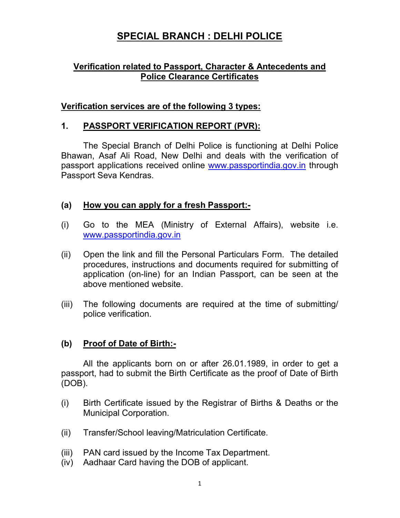# **SPECIAL BRANCH : DELHI POLICE**

## **Verification related to Passport, Character & Antecedents and Police Clearance Certificates**

### **Verification services are of the following 3 types:**

#### **1. PASSPORT VERIFICATION REPORT (PVR):**

The Special Branch of Delhi Police is functioning at Delhi Police Bhawan, Asaf Ali Road, New Delhi and deals with the verification of passport applications received online www.passportindia.gov.in through Passport Seva Kendras.

#### **(a) How you can apply for a fresh Passport:-**

- (i) Go to the MEA (Ministry of External Affairs), website i.e. www.passportindia.gov.in
- (ii) Open the link and fill the Personal Particulars Form. The detailed procedures, instructions and documents required for submitting of application (on-line) for an Indian Passport, can be seen at the above mentioned website.
- (iii) The following documents are required at the time of submitting/ police verification.

#### **(b) Proof of Date of Birth:-**

All the applicants born on or after 26.01.1989, in order to get a passport, had to submit the Birth Certificate as the proof of Date of Birth (DOB).

- (i) Birth Certificate issued by the Registrar of Births & Deaths or the Municipal Corporation.
- (ii) Transfer/School leaving/Matriculation Certificate.
- (iii) PAN card issued by the Income Tax Department.
- (iv) Aadhaar Card having the DOB of applicant.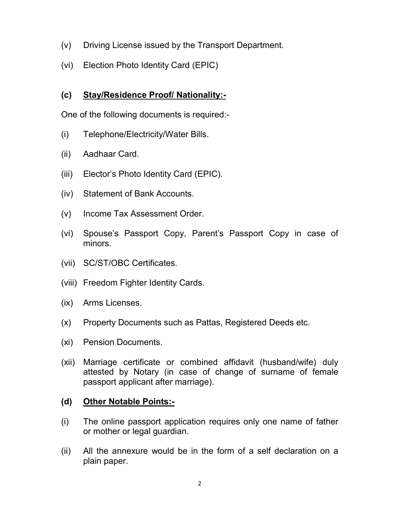- (v) Driving License issued by the Transport Department.
- (vi) Election Photo Identity Card (EPIC)

## **(c) Stay/Residence Proof/ Nationality:-**

One of the following documents is required:-

- (i) Telephone/Electricity/Water Bills.
- (ii) Aadhaar Card.
- (iii) Elector's Photo Identity Card (EPIC).
- (iv) Statement of Bank Accounts.
- (v) Income Tax Assessment Order.
- (vi) Spouse's Passport Copy, Parent's Passport Copy in case of minors.
- (vii) SC/ST/OBC Certificates.
- (viii) Freedom Fighter Identity Cards.
- (ix) Arms Licenses.
- (x) Property Documents such as Pattas, Registered Deeds etc.
- (xi) Pension Documents.
- (xii) Marriage certificate or combined affidavit (husband/wife) duly attested by Notary (in case of change of surname of female passport applicant after marriage).

### **(d) Other Notable Points:-**

- (i) The online passport application requires only one name of father or mother or legal guardian.
- (ii) All the annexure would be in the form of a self declaration on a plain paper.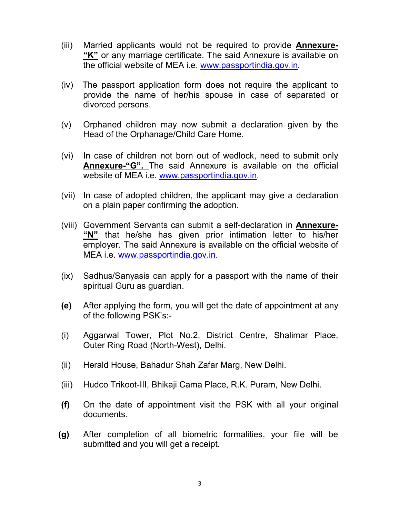- (iii) Married applicants would not be required to provide **Annexure- "K"** or any marriage certificate. The said Annexure is available on the official website of MEA i.e. www.passportindia.gov.in.
- (iv) The passport application form does not require the applicant to provide the name of her/his spouse in case of separated or divorced persons.
- (v) Orphaned children may now submit a declaration given by the Head of the Orphanage/Child Care Home.
- (vi) In case of children not born out of wedlock, need to submit only **Annexure-"G".** The said Annexure is available on the official website of MEA i.e. www.passportindia.gov.in.
- (vii) In case of adopted children, the applicant may give a declaration on a plain paper confirming the adoption.
- (viii) Government Servants can submit a self-declaration in **Annexure- "N"** that he/she has given prior intimation letter to his/her employer. The said Annexure is available on the official website of MEA i.e. www.passportindia.gov.in.
- (ix) Sadhus/Sanyasis can apply for a passport with the name of their spiritual Guru as guardian.
- **(e)** After applying the form, you will get the date of appointment at any of the following PSK's:-
- (i) Aggarwal Tower, Plot No.2, District Centre, Shalimar Place, Outer Ring Road (North-West), Delhi.
- (ii) Herald House, Bahadur Shah Zafar Marg, New Delhi.
- (iii) Hudco Trikoot-III, Bhikaji Cama Place, R.K. Puram, New Delhi.
- **(f)** On the date of appointment visit the PSK with all your original documents.
- **(g)** After completion of all biometric formalities, your file will be submitted and you will get a receipt.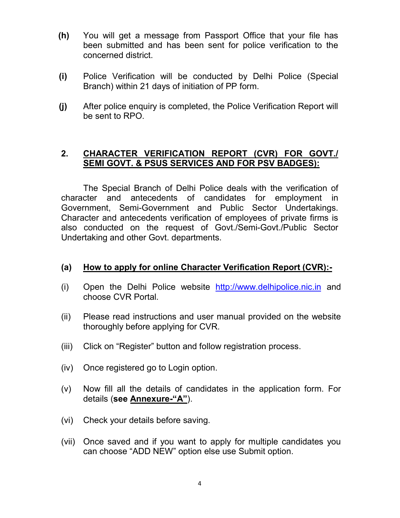- **(h)** You will get a message from Passport Office that your file has been submitted and has been sent for police verification to the concerned district.
- **(i)** Police Verification will be conducted by Delhi Police (Special Branch) within 21 days of initiation of PP form.
- **(j)** After police enquiry is completed, the Police Verification Report will be sent to RPO.

## **2. CHARACTER VERIFICATION REPORT (CVR) FOR GOVT./ SEMI GOVT. & PSUS SERVICES AND FOR PSV BADGES):**

 The Special Branch of Delhi Police deals with the verification of character and antecedents of candidates for employment in Government, Semi-Government and Public Sector Undertakings. Character and antecedents verification of employees of private firms is also conducted on the request of Govt./Semi-Govt./Public Sector Undertaking and other Govt. departments.

#### **(a) How to apply for online Character Verification Report (CVR):-**

- (i) Open the Delhi Police website http://www.delhipolice.nic.in and choose CVR Portal.
- (ii) Please read instructions and user manual provided on the website thoroughly before applying for CVR.
- (iii) Click on "Register" button and follow registration process.
- (iv) Once registered go to Login option.
- (v) Now fill all the details of candidates in the application form. For details (**see Annexure-"A"**).
- (vi) Check your details before saving.
- (vii) Once saved and if you want to apply for multiple candidates you can choose "ADD NEW" option else use Submit option.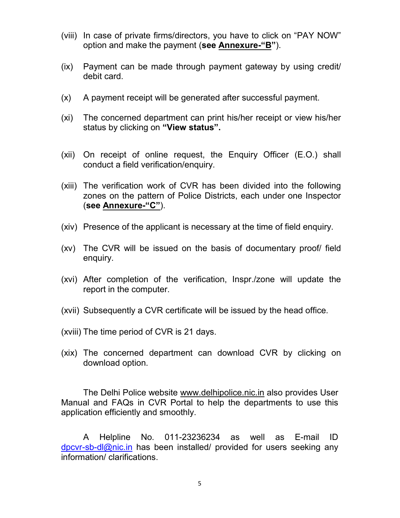- (viii) In case of private firms/directors, you have to click on "PAY NOW" option and make the payment (**see Annexure-"B"**).
- (ix) Payment can be made through payment gateway by using credit/ debit card.
- (x) A payment receipt will be generated after successful payment.
- (xi) The concerned department can print his/her receipt or view his/her status by clicking on **"View status".**
- (xii) On receipt of online request, the Enquiry Officer (E.O.) shall conduct a field verification/enquiry.
- (xiii) The verification work of CVR has been divided into the following zones on the pattern of Police Districts, each under one Inspector (**see Annexure-"C"**).
- (xiv) Presence of the applicant is necessary at the time of field enquiry.
- (xv) The CVR will be issued on the basis of documentary proof/ field enquiry.
- (xvi) After completion of the verification, Inspr./zone will update the report in the computer.
- (xvii) Subsequently a CVR certificate will be issued by the head office.
- (xviii) The time period of CVR is 21 days.
- (xix) The concerned department can download CVR by clicking on download option.

 The Delhi Police website www.delhipolice.nic.in also provides User Manual and FAQs in CVR Portal to help the departments to use this application efficiently and smoothly.

 A Helpline No. 011-23236234 as well as E-mail ID dpcvr-sb-dl@nic.in has been installed/ provided for users seeking any information/ clarifications.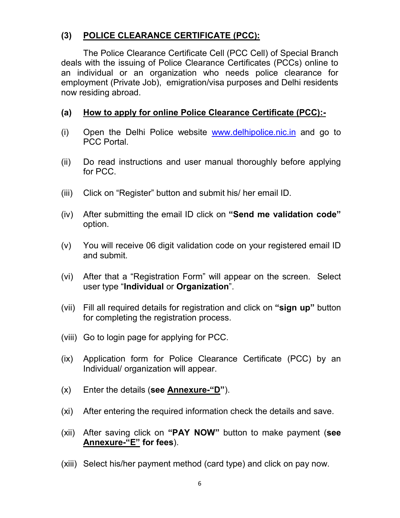## **(3) POLICE CLEARANCE CERTIFICATE (PCC):**

The Police Clearance Certificate Cell (PCC Cell) of Special Branch deals with the issuing of Police Clearance Certificates (PCCs) online to an individual or an organization who needs police clearance for employment (Private Job), emigration/visa purposes and Delhi residents now residing abroad.

### **(a) How to apply for online Police Clearance Certificate (PCC):-**

- (i) Open the Delhi Police website www.delhipolice.nic.in and go to PCC Portal.
- (ii) Do read instructions and user manual thoroughly before applying for PCC.
- (iii) Click on "Register" button and submit his/ her email ID.
- (iv) After submitting the email ID click on **"Send me validation code"** option.
- (v) You will receive 06 digit validation code on your registered email ID and submit.
- (vi) After that a "Registration Form" will appear on the screen. Select user type "**Individual** or **Organization**".
- (vii) Fill all required details for registration and click on **"sign up"** button for completing the registration process.
- (viii) Go to login page for applying for PCC.
- (ix) Application form for Police Clearance Certificate (PCC) by an Individual/ organization will appear.
- (x) Enter the details (**see Annexure-"D"**).
- (xi) After entering the required information check the details and save.
- (xii) After saving click on **"PAY NOW"** button to make payment (**see Annexure-"E" for fees**).
- (xiii) Select his/her payment method (card type) and click on pay now.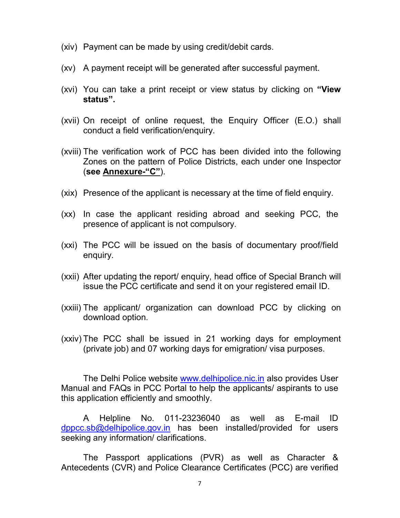- (xiv) Payment can be made by using credit/debit cards.
- (xv) A payment receipt will be generated after successful payment.
- (xvi) You can take a print receipt or view status by clicking on **"View status".**
- (xvii) On receipt of online request, the Enquiry Officer (E.O.) shall conduct a field verification/enquiry.
- (xviii) The verification work of PCC has been divided into the following Zones on the pattern of Police Districts, each under one Inspector (**see Annexure-"C"**).
- (xix) Presence of the applicant is necessary at the time of field enquiry.
- (xx) In case the applicant residing abroad and seeking PCC, the presence of applicant is not compulsory.
- (xxi) The PCC will be issued on the basis of documentary proof/field enquiry.
- (xxii) After updating the report/ enquiry, head office of Special Branch will issue the PCC certificate and send it on your registered email ID.
- (xxiii) The applicant/ organization can download PCC by clicking on download option.
- (xxiv) The PCC shall be issued in 21 working days for employment (private job) and 07 working days for emigration/ visa purposes.

 The Delhi Police website www.delhipolice.nic.in also provides User Manual and FAQs in PCC Portal to help the applicants/ aspirants to use this application efficiently and smoothly.

 A Helpline No. 011-23236040 as well as E-mail ID dppcc.sb@delhipolice.gov.in has been installed/provided for users seeking any information/ clarifications.

 The Passport applications (PVR) as well as Character & Antecedents (CVR) and Police Clearance Certificates (PCC) are verified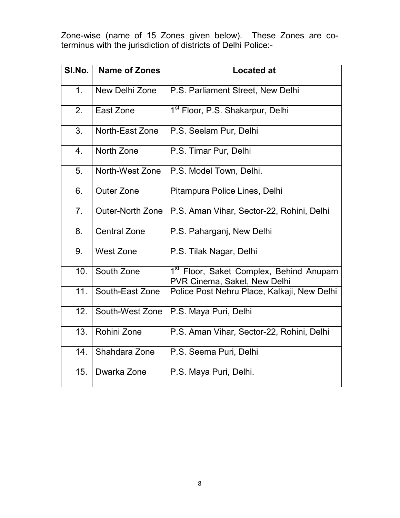Zone-wise (name of 15 Zones given below). These Zones are coterminus with the jurisdiction of districts of Delhi Police:-

| SI.No.         | <b>Name of Zones</b>    | <b>Located at</b>                                                                   |
|----------------|-------------------------|-------------------------------------------------------------------------------------|
| 1 <sub>1</sub> | New Delhi Zone          | P.S. Parliament Street, New Delhi                                                   |
| 2.             | East Zone               | 1 <sup>st</sup> Floor, P.S. Shakarpur, Delhi                                        |
| 3.             | North-East Zone         | P.S. Seelam Pur, Delhi                                                              |
| 4.             | North Zone              | P.S. Timar Pur, Delhi                                                               |
| 5.             | North-West Zone         | P.S. Model Town, Delhi.                                                             |
| 6.             | <b>Outer Zone</b>       | Pitampura Police Lines, Delhi                                                       |
| 7 <sub>1</sub> | <b>Outer-North Zone</b> | P.S. Aman Vihar, Sector-22, Rohini, Delhi                                           |
| 8.             | <b>Central Zone</b>     | P.S. Paharganj, New Delhi                                                           |
| 9.             | <b>West Zone</b>        | P.S. Tilak Nagar, Delhi                                                             |
| 10.            | South Zone              | 1 <sup>st</sup> Floor, Saket Complex, Behind Anupam<br>PVR Cinema, Saket, New Delhi |
| 11.            | South-East Zone         | Police Post Nehru Place, Kalkaji, New Delhi                                         |
| 12.            | South-West Zone         | P.S. Maya Puri, Delhi                                                               |
| 13.            | Rohini Zone             | P.S. Aman Vihar, Sector-22, Rohini, Delhi                                           |
| 14.            | Shahdara Zone           | P.S. Seema Puri, Delhi                                                              |
| 15.            | Dwarka Zone             | P.S. Maya Puri, Delhi.                                                              |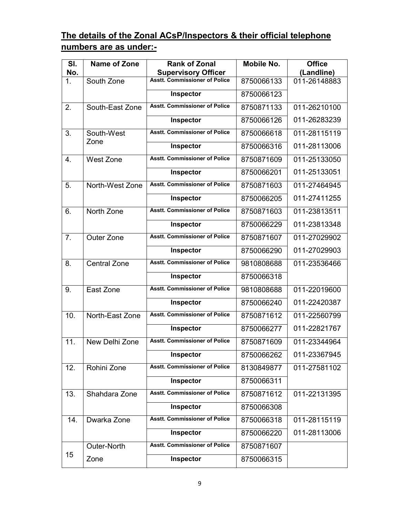# **The details of the Zonal ACsP/Inspectors & their official telephone numbers are as under:-**

| SI.            | Name of Zone        | <b>Rank of Zonal</b>                 | <b>Mobile No.</b> | <b>Office</b> |
|----------------|---------------------|--------------------------------------|-------------------|---------------|
| No.            |                     | <b>Supervisory Officer</b>           |                   | (Landline)    |
| $\mathbf{1}$ . | South Zone          | <b>Asstt. Commissioner of Police</b> | 8750066133        | 011-26148883  |
|                |                     | Inspector                            | 8750066123        |               |
| 2.             | South-East Zone     | <b>Asstt. Commissioner of Police</b> | 8750871133        | 011-26210100  |
|                |                     | Inspector                            | 8750066126        | 011-26283239  |
| 3.             | South-West          | <b>Asstt. Commissioner of Police</b> | 8750066618        | 011-28115119  |
|                | Zone                | Inspector                            | 8750066316        | 011-28113006  |
| $\mathbf{4}$ . | <b>West Zone</b>    | <b>Asstt. Commissioner of Police</b> | 8750871609        | 011-25133050  |
|                |                     | Inspector                            | 8750066201        | 011-25133051  |
| 5.             | North-West Zone     | <b>Asstt. Commissioner of Police</b> | 8750871603        | 011-27464945  |
|                |                     | Inspector                            | 8750066205        | 011-27411255  |
| 6.             | North Zone          | <b>Asstt. Commissioner of Police</b> | 8750871603        | 011-23813511  |
|                |                     | Inspector                            | 8750066229        | 011-23813348  |
| 7 <sub>1</sub> | Outer Zone          | <b>Asstt. Commissioner of Police</b> | 8750871607        | 011-27029902  |
|                |                     | Inspector                            | 8750066290        | 011-27029903  |
| 8.             | <b>Central Zone</b> | <b>Asstt. Commissioner of Police</b> | 9810808688        | 011-23536466  |
|                |                     | Inspector                            | 8750066318        |               |
| 9.             | East Zone           | <b>Asstt. Commissioner of Police</b> | 9810808688        | 011-22019600  |
|                |                     | Inspector                            | 8750066240        | 011-22420387  |
| 10.            | North-East Zone     | <b>Asstt. Commissioner of Police</b> | 8750871612        | 011-22560799  |
|                |                     | Inspector                            | 8750066277        | 011-22821767  |
| 11.            | New Delhi Zone      | <b>Asstt. Commissioner of Police</b> | 8750871609        | 011-23344964  |
|                |                     | Inspector                            | 8750066262        | 011-23367945  |
| 12.            | Rohini Zone         | <b>Asstt. Commissioner of Police</b> | 8130849877        | 011-27581102  |
|                |                     | <b>Inspector</b>                     | 8750066311        |               |
| 13.            | Shahdara Zone       | <b>Asstt. Commissioner of Police</b> | 8750871612        | 011-22131395  |
|                |                     | Inspector                            | 8750066308        |               |
| 14.            | Dwarka Zone         | <b>Asstt. Commissioner of Police</b> | 8750066318        | 011-28115119  |
|                |                     | Inspector                            | 8750066220        | 011-28113006  |
|                | Outer-North         | <b>Asstt. Commissioner of Police</b> | 8750871607        |               |
| 15             | Zone                | Inspector                            | 8750066315        |               |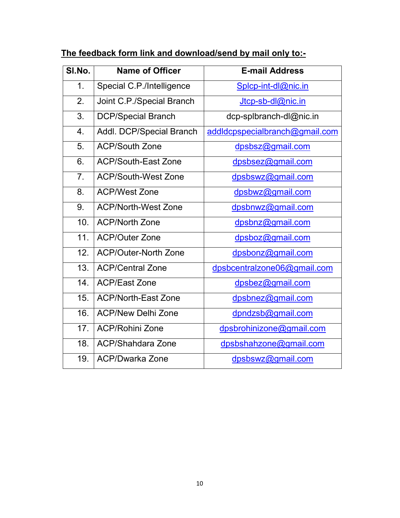| SI.No.         | <b>Name of Officer</b>      | <b>E-mail Address</b>          |  |
|----------------|-----------------------------|--------------------------------|--|
| 1.             | Special C.P./Intelligence   | Splcp-int-dl@nic.in            |  |
| 2.             | Joint C.P./Special Branch   | Jtcp-sb-dl@nic.in              |  |
| 3.             | <b>DCP/Special Branch</b>   | dcp-splbranch-dl@nic.in        |  |
| 4.             | Addl. DCP/Special Branch    | addldcpspecialbranch@gmail.com |  |
| 5.             | <b>ACP/South Zone</b>       | dpsbsz@gmail.com               |  |
| 6.             | <b>ACP/South-East Zone</b>  | dpsbsez@gmail.com              |  |
| 7 <sub>1</sub> | <b>ACP/South-West Zone</b>  | dpsbswz@gmail.com              |  |
| 8.             | <b>ACP/West Zone</b>        | dpsbwz@gmail.com               |  |
| 9.             | <b>ACP/North-West Zone</b>  | dpsbnwz@gmail.com              |  |
| 10.            | <b>ACP/North Zone</b>       | dpsbnz@gmail.com               |  |
| 11.            | <b>ACP/Outer Zone</b>       | dpsboz@gmail.com               |  |
| 12.            | <b>ACP/Outer-North Zone</b> | dpsbonz@gmail.com              |  |
| 13.            | <b>ACP/Central Zone</b>     | dpsbcentralzone06@gmail.com    |  |
| 14.            | <b>ACP/East Zone</b>        | dpsbez@gmail.com               |  |
| 15.            | <b>ACP/North-East Zone</b>  | dpsbnez@gmail.com              |  |
| 16.            | <b>ACP/New Delhi Zone</b>   | dpndzsb@gmail.com              |  |
| 17.            | <b>ACP/Rohini Zone</b>      | dpsbrohinizone@gmail.com       |  |
| 18.            | <b>ACP/Shahdara Zone</b>    | dpsbshahzone@gmail.com         |  |
| 19.            | <b>ACP/Dwarka Zone</b>      | dpsbswz@gmail.com              |  |

# **The feedback form link and download/send by mail only to:-**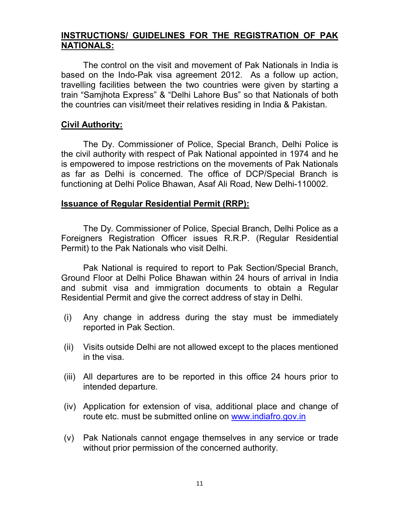### **INSTRUCTIONS/ GUIDELINES FOR THE REGISTRATION OF PAK NATIONALS:**

 The control on the visit and movement of Pak Nationals in India is based on the Indo-Pak visa agreement 2012. As a follow up action, travelling facilities between the two countries were given by starting a train "Samjhota Express" & "Delhi Lahore Bus" so that Nationals of both the countries can visit/meet their relatives residing in India & Pakistan.

### **Civil Authority:**

 The Dy. Commissioner of Police, Special Branch, Delhi Police is the civil authority with respect of Pak National appointed in 1974 and he is empowered to impose restrictions on the movements of Pak Nationals as far as Delhi is concerned. The office of DCP/Special Branch is functioning at Delhi Police Bhawan, Asaf Ali Road, New Delhi-110002.

#### **Issuance of Regular Residential Permit (RRP):**

 The Dy. Commissioner of Police, Special Branch, Delhi Police as a Foreigners Registration Officer issues R.R.P. (Regular Residential Permit) to the Pak Nationals who visit Delhi.

 Pak National is required to report to Pak Section/Special Branch, Ground Floor at Delhi Police Bhawan within 24 hours of arrival in India and submit visa and immigration documents to obtain a Regular Residential Permit and give the correct address of stay in Delhi.

- (i) Any change in address during the stay must be immediately reported in Pak Section.
- (ii) Visits outside Delhi are not allowed except to the places mentioned in the visa.
- (iii) All departures are to be reported in this office 24 hours prior to intended departure.
- (iv) Application for extension of visa, additional place and change of route etc. must be submitted online on www.indiafro.gov.in
- (v) Pak Nationals cannot engage themselves in any service or trade without prior permission of the concerned authority.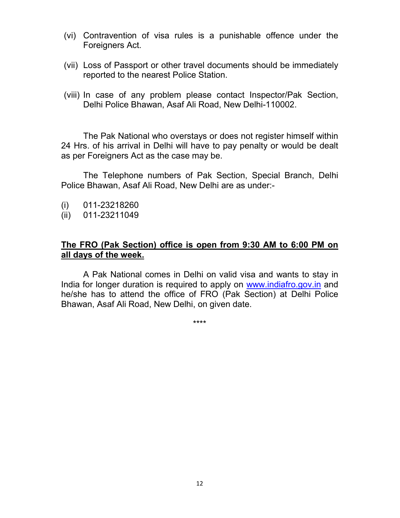- (vi) Contravention of visa rules is a punishable offence under the Foreigners Act.
- (vii) Loss of Passport or other travel documents should be immediately reported to the nearest Police Station.
- (viii) In case of any problem please contact Inspector/Pak Section, Delhi Police Bhawan, Asaf Ali Road, New Delhi-110002.

 The Pak National who overstays or does not register himself within 24 Hrs. of his arrival in Delhi will have to pay penalty or would be dealt as per Foreigners Act as the case may be.

 The Telephone numbers of Pak Section, Special Branch, Delhi Police Bhawan, Asaf Ali Road, New Delhi are as under:-

- (i) 011-23218260
- (ii) 011-23211049

### **The FRO (Pak Section) office is open from 9:30 AM to 6:00 PM on all days of the week.**

 A Pak National comes in Delhi on valid visa and wants to stay in India for longer duration is required to apply on www.indiafro.gov.in and he/she has to attend the office of FRO (Pak Section) at Delhi Police Bhawan, Asaf Ali Road, New Delhi, on given date.

\*\*\*\*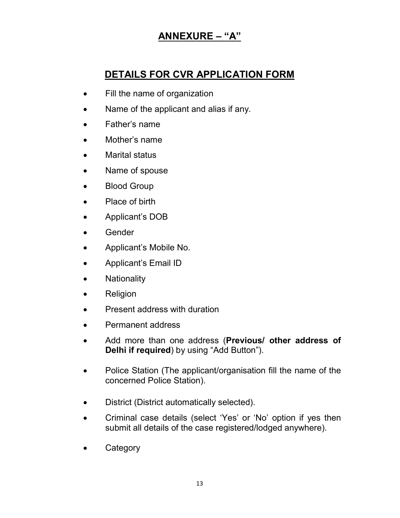# **ANNEXURE – "A"**

# **DETAILS FOR CVR APPLICATION FORM**

- Fill the name of organization
- Name of the applicant and alias if any.
- Father's name
- Mother's name
- Marital status
- Name of spouse
- Blood Group
- Place of birth
- Applicant's DOB
- Gender
- Applicant's Mobile No.
- Applicant's Email ID
- Nationality
- Religion
- Present address with duration
- Permanent address
- Add more than one address (**Previous/ other address of Delhi if required**) by using "Add Button").
- Police Station (The applicant/organisation fill the name of the concerned Police Station).
- District (District automatically selected).
- Criminal case details (select 'Yes' or 'No' option if yes then submit all details of the case registered/lodged anywhere).
- Category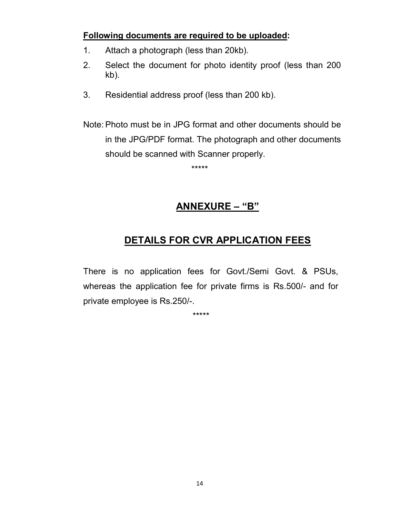### **Following documents are required to be uploaded:**

- 1. Attach a photograph (less than 20kb).
- 2. Select the document for photo identity proof (less than 200 kb).
- 3. Residential address proof (less than 200 kb).
- Note: Photo must be in JPG format and other documents should be in the JPG/PDF format. The photograph and other documents should be scanned with Scanner properly.

\*\*\*\*\*

## **ANNEXURE – "B"**

# **DETAILS FOR CVR APPLICATION FEES**

There is no application fees for Govt./Semi Govt. & PSUs, whereas the application fee for private firms is Rs.500/- and for private employee is Rs.250/-.

\*\*\*\*\*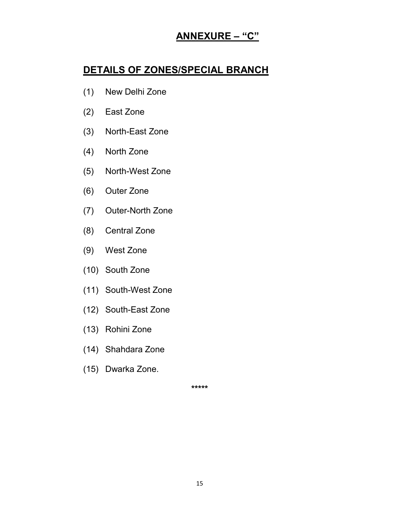# **ANNEXURE – "C"**

## **DETAILS OF ZONES/SPECIAL BRANCH**

- (1) New Delhi Zone
- (2) East Zone
- (3) North-East Zone
- (4) North Zone
- (5) North-West Zone
- (6) Outer Zone
- (7) Outer-North Zone
- (8) Central Zone
- (9) West Zone
- (10) South Zone
- (11) South-West Zone
- (12) South-East Zone
- (13) Rohini Zone
- (14) Shahdara Zone
- (15) Dwarka Zone.

**\*\*\*\*\***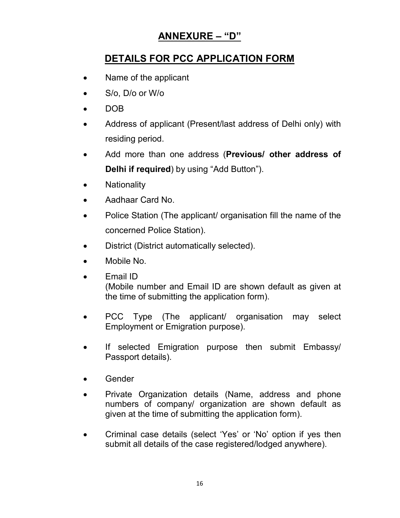# **ANNEXURE – "D"**

# **DETAILS FOR PCC APPLICATION FORM**

- Name of the applicant
- S/o, D/o or W/o
- DOB
- Address of applicant (Present/last address of Delhi only) with residing period.
- Add more than one address (**Previous/ other address of Delhi if required**) by using "Add Button").
- Nationality
- Aadhaar Card No.
- Police Station (The applicant/ organisation fill the name of the concerned Police Station).
- District (District automatically selected).
- Mobile No.
- Email ID (Mobile number and Email ID are shown default as given at the time of submitting the application form).
- PCC Type (The applicant/ organisation may select Employment or Emigration purpose).
- If selected Emigration purpose then submit Embassy/ Passport details).
- Gender
- Private Organization details (Name, address and phone numbers of company/ organization are shown default as given at the time of submitting the application form).
- Criminal case details (select 'Yes' or 'No' option if yes then submit all details of the case registered/lodged anywhere).